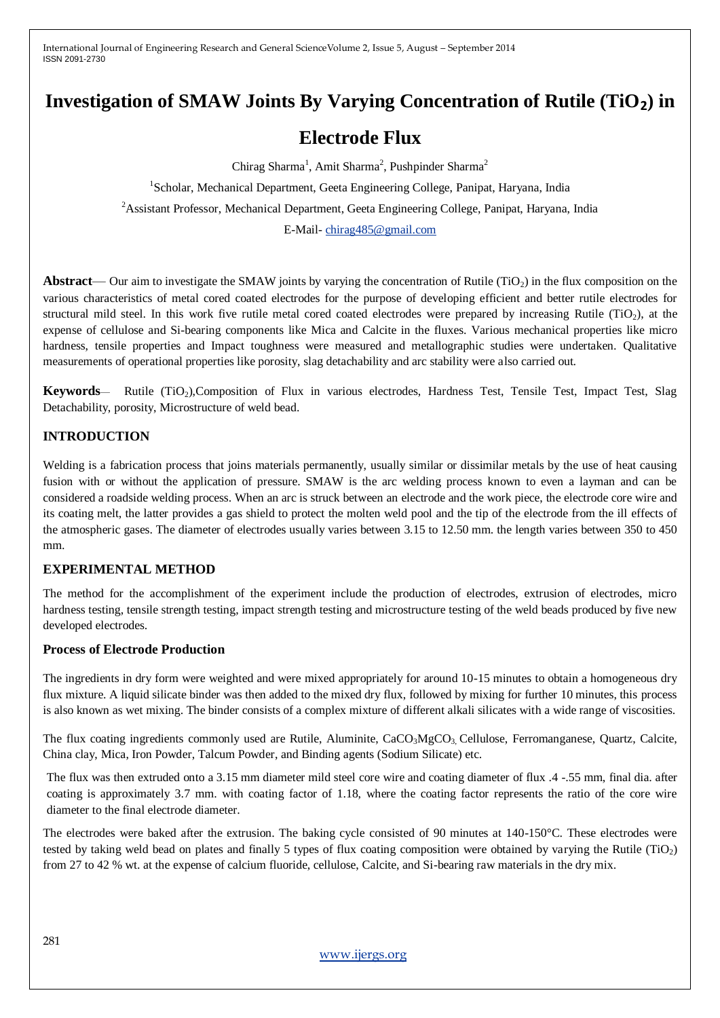# **Investigation of SMAW Joints By Varying Concentration of Rutile (TiO2) in**

## **Electrode Flux**

Chirag Sharma<sup>1</sup>, Amit Sharma<sup>2</sup>, Pushpinder Sharma<sup>2</sup> <sup>1</sup>Scholar, Mechanical Department, Geeta Engineering College, Panipat, Haryana, India <sup>2</sup>Assistant Professor, Mechanical Department, Geeta Engineering College, Panipat, Haryana, India E-Mail- [chirag485@gmail.com](mailto:chirag485@gmail.com)

**Abstract**— Our aim to investigate the SMAW joints by varying the concentration of Rutile (TiO<sub>2</sub>) in the flux composition on the various characteristics of metal cored coated electrodes for the purpose of developing efficient and better rutile electrodes for structural mild steel. In this work five rutile metal cored coated electrodes were prepared by increasing Rutile (TiO<sub>2</sub>), at the expense of cellulose and Si-bearing components like Mica and Calcite in the fluxes. Various mechanical properties like micro hardness, tensile properties and Impact toughness were measured and metallographic studies were undertaken. Qualitative measurements of operational properties like porosity, slag detachability and arc stability were also carried out.

Keywords- Rutile (TiO<sub>2</sub>),Composition of Flux in various electrodes, Hardness Test, Tensile Test, Impact Test, Slag Detachability, porosity, Microstructure of weld bead.

## **INTRODUCTION**

Welding is a fabrication process that joins materials permanently, usually similar or dissimilar metals by the use of heat causing fusion with or without the application of pressure. SMAW is the arc welding process known to even a layman and can be considered a roadside welding process. When an arc is struck between an electrode and the work piece, the electrode core wire and its coating melt, the latter provides a gas shield to protect the molten weld pool and the tip of the electrode from the ill effects of the atmospheric gases. The diameter of electrodes usually varies between 3.15 to 12.50 mm. the length varies between 350 to 450 mm.

## **EXPERIMENTAL METHOD**

The method for the accomplishment of the experiment include the production of electrodes, extrusion of electrodes, micro hardness testing, tensile strength testing, impact strength testing and microstructure testing of the weld beads produced by five new developed electrodes.

#### **Process of Electrode Production**

The ingredients in dry form were weighted and were mixed appropriately for around 10-15 minutes to obtain a homogeneous dry flux mixture. A liquid silicate binder was then added to the mixed dry flux, followed by mixing for further 10 minutes, this process is also known as wet mixing. The binder consists of a complex mixture of different alkali silicates with a wide range of viscosities.

The flux coating ingredients commonly used are Rutile, Aluminite,  $CaCO<sub>3</sub>MGCO<sub>3</sub>$  Cellulose, Ferromanganese, Quartz, Calcite, China clay, Mica, Iron Powder, Talcum Powder, and Binding agents (Sodium Silicate) etc.

The flux was then extruded onto a 3.15 mm diameter mild steel core wire and coating diameter of flux .4 -.55 mm, final dia. after coating is approximately 3.7 mm. with coating factor of 1.18, where the coating factor represents the ratio of the core wire diameter to the final electrode diameter.

The electrodes were baked after the extrusion. The baking cycle consisted of 90 minutes at 140-150°C. These electrodes were tested by taking weld bead on plates and finally 5 types of flux coating composition were obtained by varying the Rutile (TiO<sub>2</sub>) from 27 to 42 % wt. at the expense of calcium fluoride, cellulose, Calcite, and Si-bearing raw materials in the dry mix.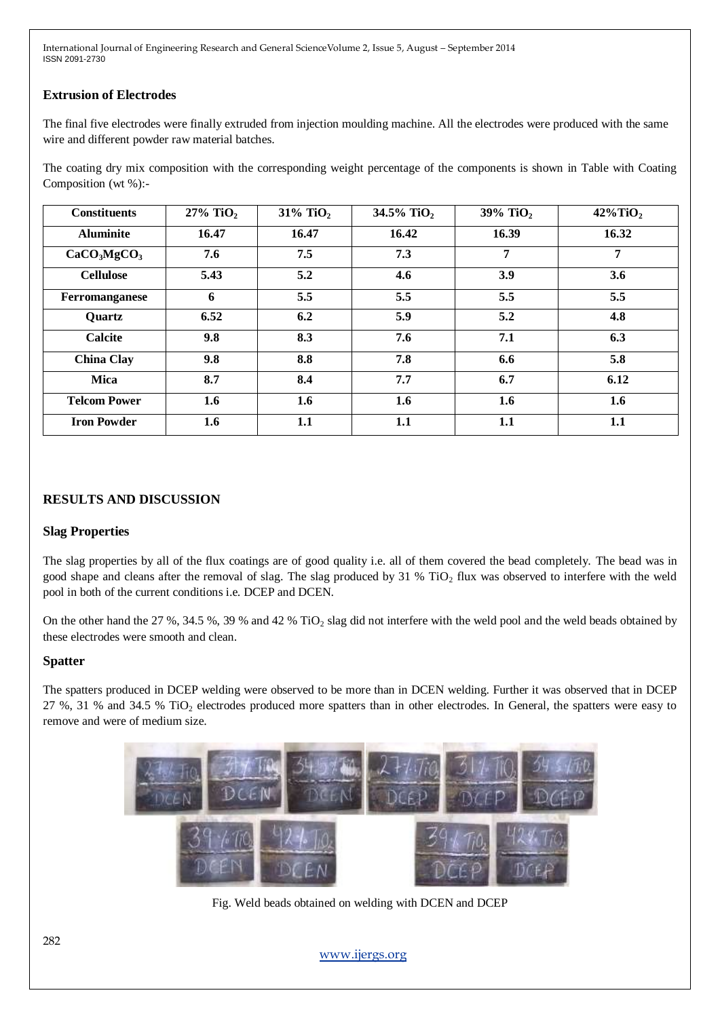## **Extrusion of Electrodes**

The final five electrodes were finally extruded from injection moulding machine. All the electrodes were produced with the same wire and different powder raw material batches.

The coating dry mix composition with the corresponding weight percentage of the components is shown in Table with Coating Composition (wt %):-

| <b>Constituents</b>                 | $27\%$ TiO <sub>2</sub> | $31\%$ TiO <sub>2</sub> | 34.5% TiO <sub>2</sub> | 39% TiO <sub>2</sub> | $42\%$ TiO <sub>2</sub> |
|-------------------------------------|-------------------------|-------------------------|------------------------|----------------------|-------------------------|
| <b>Aluminite</b>                    | 16.47                   | 16.47                   | 16.42                  | 16.39                | 16.32                   |
| CaCO <sub>3</sub> MgCO <sub>3</sub> | 7.6                     | 7.5                     | 7.3                    | $\overline{7}$       | $\overline{7}$          |
| <b>Cellulose</b>                    | 5.43                    | 5.2                     | 4.6                    | 3.9                  | 3.6                     |
| Ferromanganese                      | 6                       | 5.5                     | 5.5                    | 5.5                  | 5.5                     |
| Quartz                              | 6.52                    | 6.2                     | 5.9                    | 5.2                  | 4.8                     |
| <b>Calcite</b>                      | 9.8                     | 8.3                     | 7.6                    | 7.1                  | 6.3                     |
| <b>China Clay</b>                   | 9.8                     | 8.8                     | 7.8                    | 6.6                  | 5.8                     |
| <b>Mica</b>                         | 8.7                     | 8.4                     | 7.7                    | 6.7                  | 6.12                    |
| <b>Telcom Power</b>                 | 1.6                     | 1.6                     | 1.6                    | 1.6                  | 1.6                     |
| <b>Iron Powder</b>                  | 1.6                     | 1.1                     | 1.1                    | 1.1                  | 1.1                     |

## **RESULTS AND DISCUSSION**

#### **Slag Properties**

The slag properties by all of the flux coatings are of good quality i.e. all of them covered the bead completely. The bead was in good shape and cleans after the removal of slag. The slag produced by 31 % TiO<sub>2</sub> flux was observed to interfere with the weld pool in both of the current conditions i.e. DCEP and DCEN.

On the other hand the 27 %, 34.5 %, 39 % and 42 % TiO<sub>2</sub> slag did not interfere with the weld pool and the weld beads obtained by these electrodes were smooth and clean.

#### **Spatter**

The spatters produced in DCEP welding were observed to be more than in DCEN welding. Further it was observed that in DCEP 27 %, 31 % and 34.5 % TiO<sub>2</sub> electrodes produced more spatters than in other electrodes. In General, the spatters were easy to remove and were of medium size.



Fig. Weld beads obtained on welding with DCEN and DCEP

[www.ijergs.org](http://www.ijergs.org/)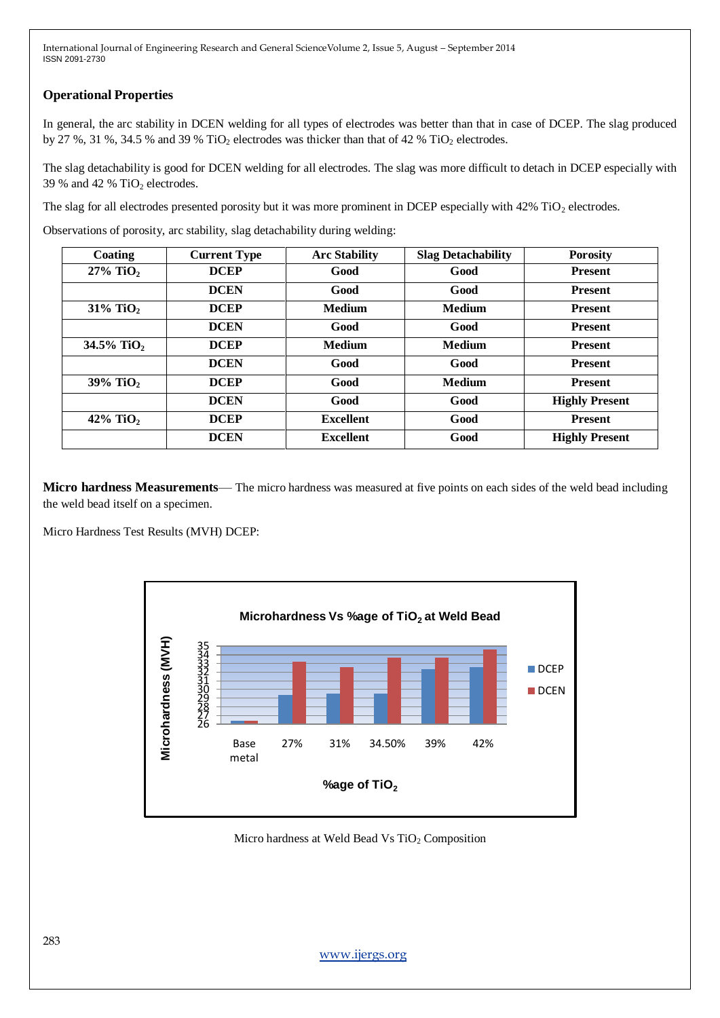## **Operational Properties**

In general, the arc stability in DCEN welding for all types of electrodes was better than that in case of DCEP. The slag produced by 27 %, 31 %, 34.5 % and 39 % TiO<sub>2</sub> electrodes was thicker than that of 42 % TiO<sub>2</sub> electrodes.

The slag detachability is good for DCEN welding for all electrodes. The slag was more difficult to detach in DCEP especially with 39 % and 42 %  $TiO<sub>2</sub>$  electrodes.

The slag for all electrodes presented porosity but it was more prominent in DCEP especially with  $42\%$  TiO<sub>2</sub> electrodes.

Observations of porosity, arc stability, slag detachability during welding:

| Coating                 | <b>Current Type</b> | <b>Arc Stability</b> | <b>Slag Detachability</b> | <b>Porosity</b>       |
|-------------------------|---------------------|----------------------|---------------------------|-----------------------|
| $27\%$ TiO <sub>2</sub> | <b>DCEP</b>         | Good                 | Good                      | <b>Present</b>        |
|                         | <b>DCEN</b>         | Good                 | Good                      | <b>Present</b>        |
| $31\%$ TiO <sub>2</sub> | <b>DCEP</b>         | <b>Medium</b>        | <b>Medium</b>             | <b>Present</b>        |
|                         | <b>DCEN</b>         | Good                 | Good                      | <b>Present</b>        |
| 34.5% TiO <sub>2</sub>  | <b>DCEP</b>         | <b>Medium</b>        | <b>Medium</b>             | <b>Present</b>        |
|                         | <b>DCEN</b>         | Good                 | Good                      | <b>Present</b>        |
| 39% TiO <sub>2</sub>    | <b>DCEP</b>         | Good                 | <b>Medium</b>             | <b>Present</b>        |
|                         | <b>DCEN</b>         | Good                 | Good                      | <b>Highly Present</b> |
| 42% TiO <sub>2</sub>    | <b>DCEP</b>         | <b>Excellent</b>     | Good                      | <b>Present</b>        |
|                         | <b>DCEN</b>         | <b>Excellent</b>     | Good                      | <b>Highly Present</b> |

**Micro hardness Measurements**— The micro hardness was measured at five points on each sides of the weld bead including the weld bead itself on a specimen.

Micro Hardness Test Results (MVH) DCEP:



Micro hardness at Weld Bead Vs TiO<sub>2</sub> Composition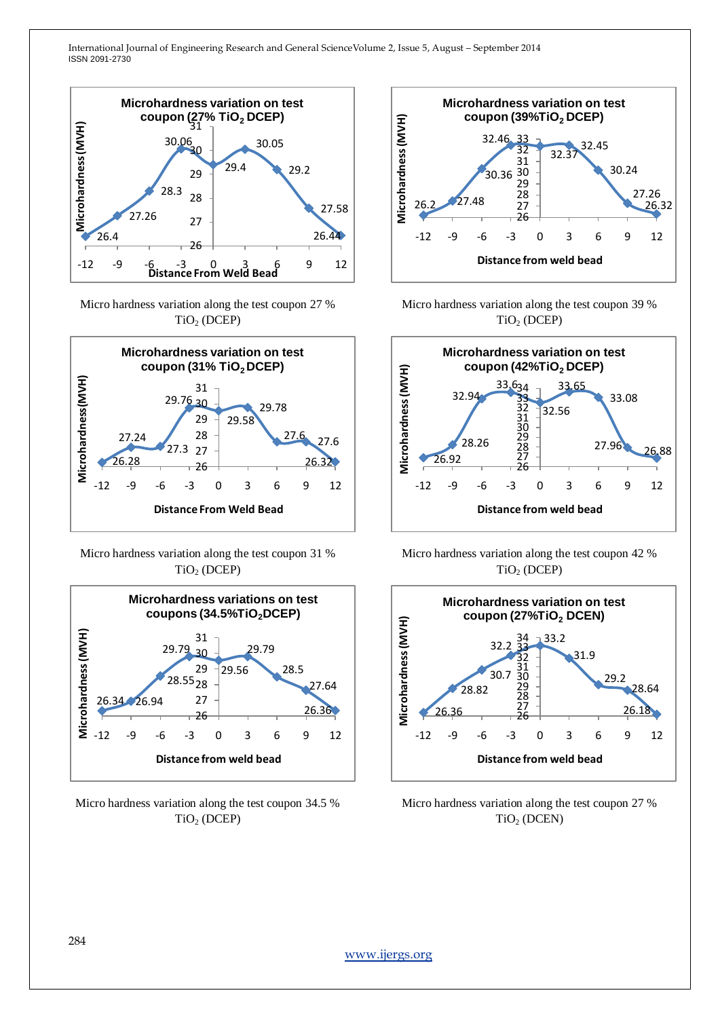

Micro hardness variation along the test coupon 27 %  $TiO<sub>2</sub>$  (DCEP)



Micro hardness variation along the test coupon 31 % TiO<sup>2</sup> (DCEP)



Micro hardness variation along the test coupon 34.5 % TiO<sup>2</sup> (DCEP)



Micro hardness variation along the test coupon 39 %  $TiO<sub>2</sub>$  (DCEP)



Micro hardness variation along the test coupon 42 %  $TiO<sub>2</sub> (DCEP)$ 



Micro hardness variation along the test coupon 27 % TiO<sup>2</sup> (DCEN)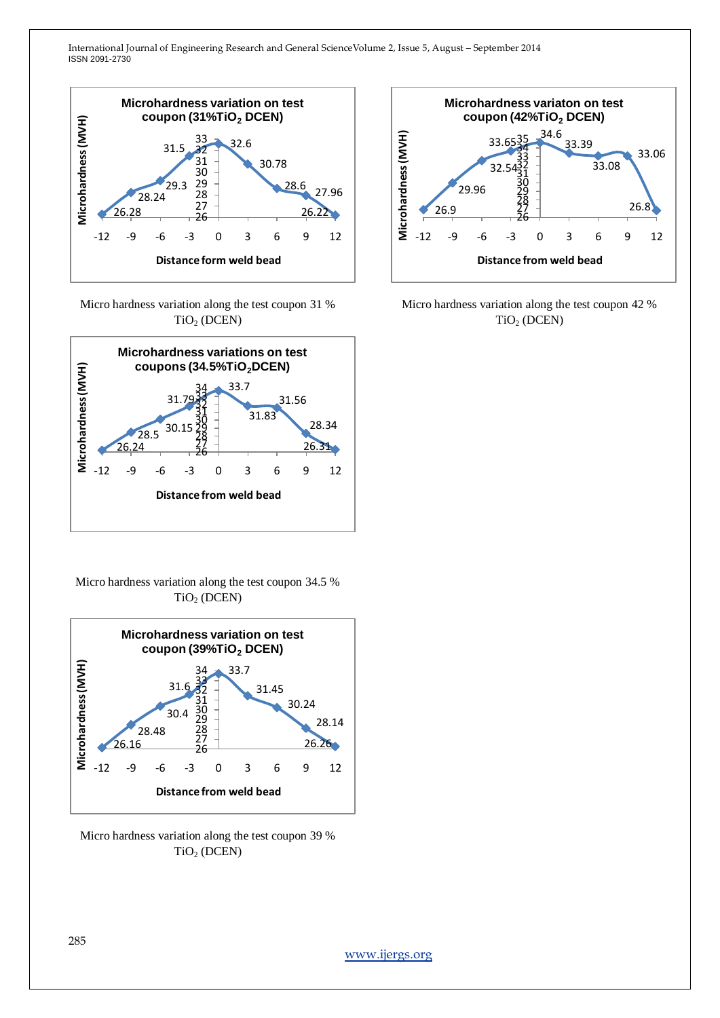

Micro hardness variation along the test coupon 31 % TiO<sup>2</sup> (DCEN)



Micro hardness variation along the test coupon 34.5 %  $TiO<sub>2</sub>$  (DCEN)



Micro hardness variation along the test coupon 39 % TiO<sup>2</sup> (DCEN)



Micro hardness variation along the test coupon 42 % TiO<sup>2</sup> (DCEN)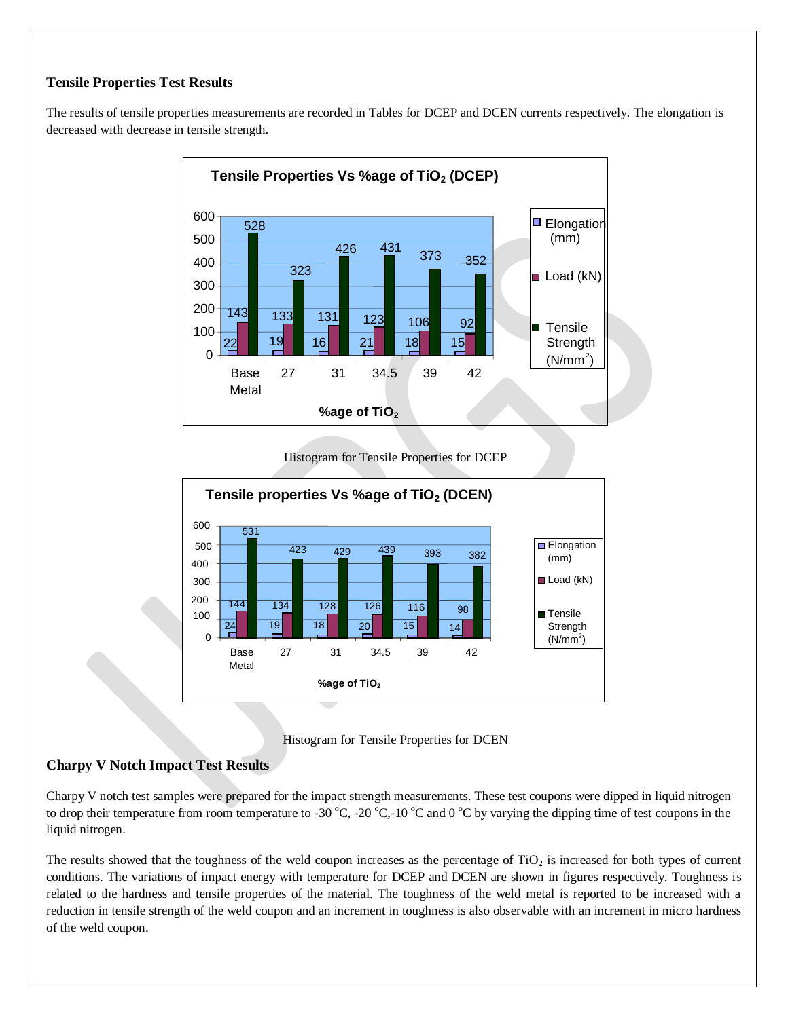## **Tensile Properties Test Results**

The results of tensile properties measurements are recorded in Tables for DCEP and DCEN currents respectively. The elongation is decreased with decrease in tensile strength.



Histogram for Tensile Properties for DCEP





#### **Charpy V Notch Impact Test Results**

Charpy V notch test samples were prepared for the impact strength measurements. These test coupons were dipped in liquid nitrogen to drop their temperature from room temperature to -30  $^{\circ}$ C, -20  $^{\circ}$ C,-10  $^{\circ}$ C and 0  $^{\circ}$ C by varying the dipping time of test coupons in the liquid nitrogen.

The results showed that the toughness of the weld coupon increases as the percentage of  $TiO<sub>2</sub>$  is increased for both types of current conditions. The variations of impact energy with temperature for DCEP and DCEN are shown in figures respectively. Toughness is related to the hardness and tensile properties of the material. The toughness of the weld metal is reported to be increased with a reduction in tensile strength of the weld coupon and an increment in toughness is also observable with an increment in micro hardness of the weld coupon.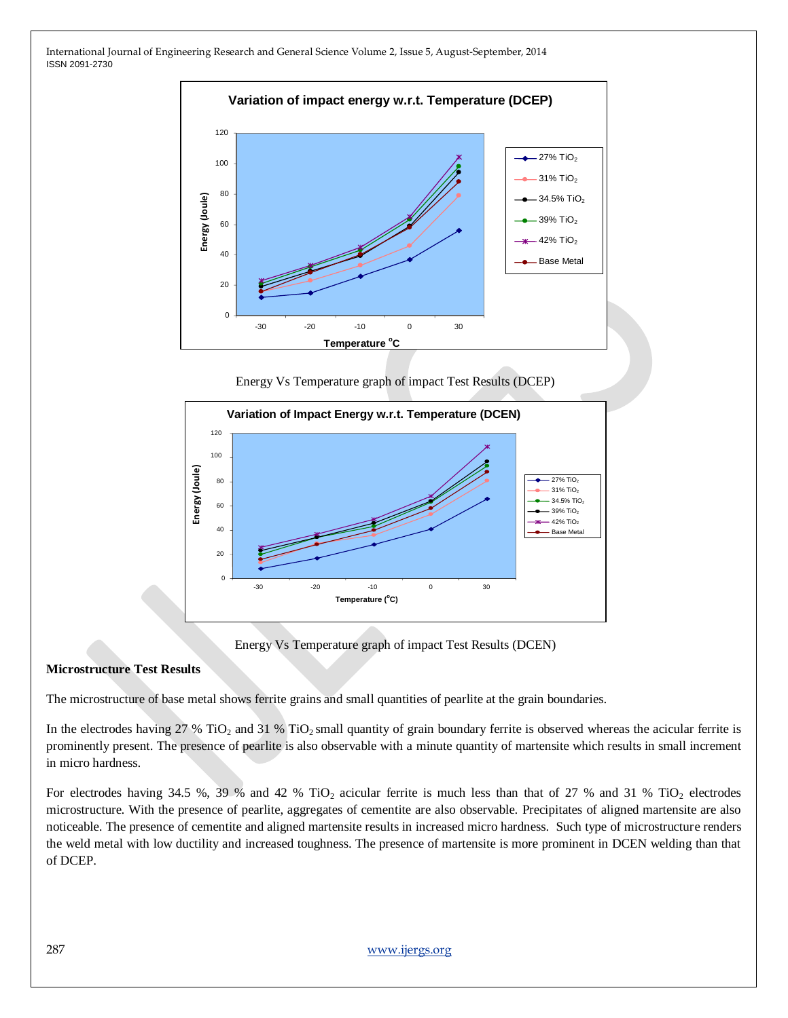

Energy Vs Temperature graph of impact Test Results (DCEP)



Energy Vs Temperature graph of impact Test Results (DCEN)

#### **Microstructure Test Results**

The microstructure of base metal shows ferrite grains and small quantities of pearlite at the grain boundaries.

In the electrodes having  $27\%$  TiO<sub>2</sub> and  $31\%$  TiO<sub>2</sub> small quantity of grain boundary ferrite is observed whereas the acicular ferrite is prominently present. The presence of pearlite is also observable with a minute quantity of martensite which results in small increment in micro hardness.

For electrodes having 34.5 %, 39 % and 42 % TiO<sub>2</sub> acicular ferrite is much less than that of 27 % and 31 % TiO<sub>2</sub> electrodes microstructure. With the presence of pearlite, aggregates of cementite are also observable. Precipitates of aligned martensite are also noticeable. The presence of cementite and aligned martensite results in increased micro hardness. Such type of microstructure renders the weld metal with low ductility and increased toughness. The presence of martensite is more prominent in DCEN welding than that of DCEP.